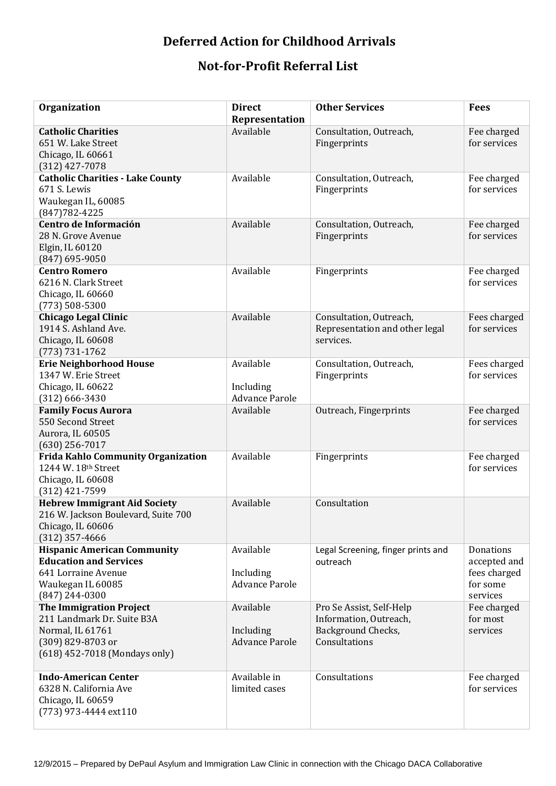## **Deferred Action for Childhood Arrivals**

## **Not-for-Profit Referral List**

| Organization                                                                                                                           | <b>Direct</b><br>Representation                 | <b>Other Services</b>                                                                     | <b>Fees</b>                                                       |
|----------------------------------------------------------------------------------------------------------------------------------------|-------------------------------------------------|-------------------------------------------------------------------------------------------|-------------------------------------------------------------------|
| <b>Catholic Charities</b><br>651 W. Lake Street<br>Chicago, IL 60661<br>$(312)$ 427-7078                                               | Available                                       | Consultation, Outreach,<br>Fingerprints                                                   | Fee charged<br>for services                                       |
| <b>Catholic Charities - Lake County</b><br>671 S. Lewis<br>Waukegan IL, 60085<br>$(847)782 - 4225$                                     | Available                                       | Consultation, Outreach,<br>Fingerprints                                                   | Fee charged<br>for services                                       |
| Centro de Información<br>28 N. Grove Avenue<br>Elgin, IL 60120<br>$(847)$ 695-9050                                                     | Available                                       | Consultation, Outreach,<br>Fingerprints                                                   | Fee charged<br>for services                                       |
| <b>Centro Romero</b><br>6216 N. Clark Street<br>Chicago, IL 60660<br>$(773) 508 - 5300$                                                | Available                                       | Fingerprints                                                                              | Fee charged<br>for services                                       |
| <b>Chicago Legal Clinic</b><br>1914 S. Ashland Ave.<br>Chicago, IL 60608<br>$(773) 731 - 1762$                                         | Available                                       | Consultation, Outreach,<br>Representation and other legal<br>services.                    | Fees charged<br>for services                                      |
| <b>Erie Neighborhood House</b><br>1347 W. Erie Street<br>Chicago, IL 60622<br>$(312)$ 666-3430                                         | Available<br>Including<br><b>Advance Parole</b> | Consultation, Outreach,<br>Fingerprints                                                   | Fees charged<br>for services                                      |
| <b>Family Focus Aurora</b><br>550 Second Street<br>Aurora, IL 60505<br>$(630)$ 256-7017                                                | Available                                       | Outreach, Fingerprints                                                                    | Fee charged<br>for services                                       |
| <b>Frida Kahlo Community Organization</b><br>1244 W. 18th Street<br>Chicago, IL 60608<br>(312) 421-7599                                | Available                                       | Fingerprints                                                                              | Fee charged<br>for services                                       |
| <b>Hebrew Immigrant Aid Society</b><br>216 W. Jackson Boulevard, Suite 700<br>Chicago, IL 60606<br>$(312)$ 357-4666                    | Available                                       | Consultation                                                                              |                                                                   |
| <b>Hispanic American Community</b><br><b>Education and Services</b><br>641 Lorraine Avenue<br>Waukegan IL 60085<br>$(847)$ 244-0300    | Available<br>Including<br><b>Advance Parole</b> | Legal Screening, finger prints and<br>outreach                                            | Donations<br>accepted and<br>fees charged<br>for some<br>services |
| <b>The Immigration Project</b><br>211 Landmark Dr. Suite B3A<br>Normal, IL 61761<br>(309) 829-8703 or<br>(618) 452-7018 (Mondays only) | Available<br>Including<br><b>Advance Parole</b> | Pro Se Assist, Self-Help<br>Information, Outreach,<br>Background Checks,<br>Consultations | Fee charged<br>for most<br>services                               |
| <b>Indo-American Center</b><br>6328 N. California Ave<br>Chicago, IL 60659<br>(773) 973-4444 ext110                                    | Available in<br>limited cases                   | Consultations                                                                             | Fee charged<br>for services                                       |